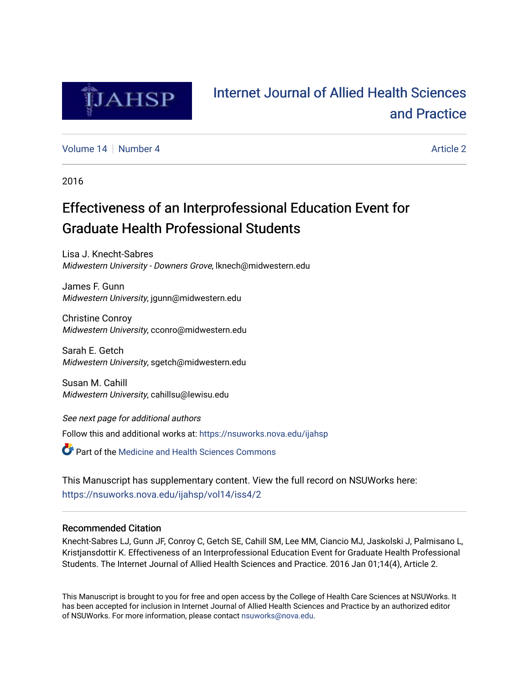

# [Internet Journal of Allied Health Sciences](https://nsuworks.nova.edu/ijahsp)  [and Practice](https://nsuworks.nova.edu/ijahsp)

[Volume 14](https://nsuworks.nova.edu/ijahsp/vol14) | [Number 4](https://nsuworks.nova.edu/ijahsp/vol14/iss4) [Article 2](https://nsuworks.nova.edu/ijahsp/vol14/iss4/2) Article 2 Article 2 Article 2 Article 2 Article 2

2016

# Effectiveness of an Interprofessional Education Event for Graduate Health Professional Students

Lisa J. Knecht-Sabres Midwestern University - Downers Grove, lknech@midwestern.edu

James F. Gunn Midwestern University, jgunn@midwestern.edu

Christine Conroy Midwestern University, cconro@midwestern.edu

Sarah E. Getch Midwestern University, sgetch@midwestern.edu

Susan M. Cahill Midwestern University, cahillsu@lewisu.edu

See next page for additional authors Follow this and additional works at: [https://nsuworks.nova.edu/ijahsp](https://nsuworks.nova.edu/ijahsp?utm_source=nsuworks.nova.edu%2Fijahsp%2Fvol14%2Fiss4%2F2&utm_medium=PDF&utm_campaign=PDFCoverPages) 

**C** Part of the Medicine and Health Sciences Commons

This Manuscript has supplementary content. View the full record on NSUWorks here: <https://nsuworks.nova.edu/ijahsp/vol14/iss4/2>

## Recommended Citation

Knecht-Sabres LJ, Gunn JF, Conroy C, Getch SE, Cahill SM, Lee MM, Ciancio MJ, Jaskolski J, Palmisano L, Kristjansdottir K. Effectiveness of an Interprofessional Education Event for Graduate Health Professional Students. The Internet Journal of Allied Health Sciences and Practice. 2016 Jan 01;14(4), Article 2.

This Manuscript is brought to you for free and open access by the College of Health Care Sciences at NSUWorks. It has been accepted for inclusion in Internet Journal of Allied Health Sciences and Practice by an authorized editor of NSUWorks. For more information, please contact [nsuworks@nova.edu.](mailto:nsuworks@nova.edu)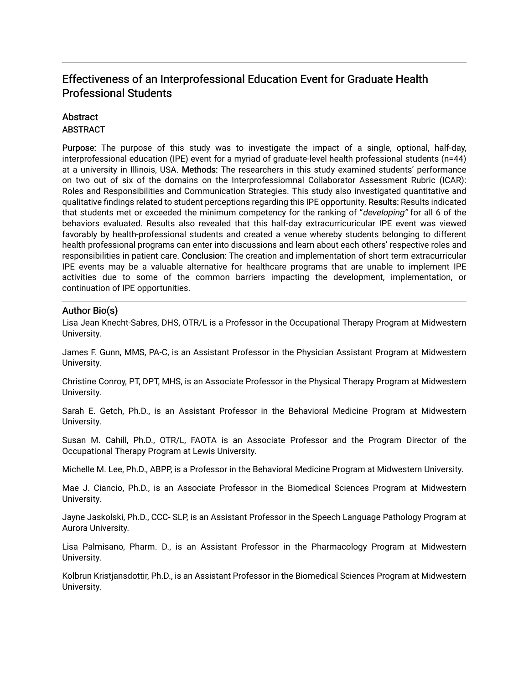## Effectiveness of an Interprofessional Education Event for Graduate Health Professional Students

## **Abstract**

### **ABSTRACT**

Purpose: The purpose of this study was to investigate the impact of a single, optional, half-day, interprofessional education (IPE) event for a myriad of graduate-level health professional students (n=44) at a university in Illinois, USA. Methods: The researchers in this study examined students' performance on two out of six of the domains on the Interprofessiomnal Collaborator Assessment Rubric (ICAR): Roles and Responsibilities and Communication Strategies. This study also investigated quantitative and qualitative findings related to student perceptions regarding this IPE opportunity. Results: Results indicated that students met or exceeded the minimum competency for the ranking of "developing" for all 6 of the behaviors evaluated. Results also revealed that this half-day extracurricuricular IPE event was viewed favorably by health-professional students and created a venue whereby students belonging to different health professional programs can enter into discussions and learn about each others' respective roles and responsibilities in patient care. Conclusion: The creation and implementation of short term extracurricular IPE events may be a valuable alternative for healthcare programs that are unable to implement IPE activities due to some of the common barriers impacting the development, implementation, or continuation of IPE opportunities.

## Author Bio(s)

Lisa Jean Knecht-Sabres, DHS, OTR/L is a Professor in the Occupational Therapy Program at Midwestern University.

James F. Gunn, MMS, PA-C, is an Assistant Professor in the Physician Assistant Program at Midwestern University.

Christine Conroy, PT, DPT, MHS, is an Associate Professor in the Physical Therapy Program at Midwestern University.

Sarah E. Getch, Ph.D., is an Assistant Professor in the Behavioral Medicine Program at Midwestern University.

Susan M. Cahill, Ph.D., OTR/L, FAOTA is an Associate Professor and the Program Director of the Occupational Therapy Program at Lewis University.

Michelle M. Lee, Ph.D., ABPP, is a Professor in the Behavioral Medicine Program at Midwestern University.

Mae J. Ciancio, Ph.D., is an Associate Professor in the Biomedical Sciences Program at Midwestern University.

Jayne Jaskolski, Ph.D., CCC- SLP, is an Assistant Professor in the Speech Language Pathology Program at Aurora University.

Lisa Palmisano, Pharm. D., is an Assistant Professor in the Pharmacology Program at Midwestern University.

Kolbrun Kristjansdottir, Ph.D., is an Assistant Professor in the Biomedical Sciences Program at Midwestern University.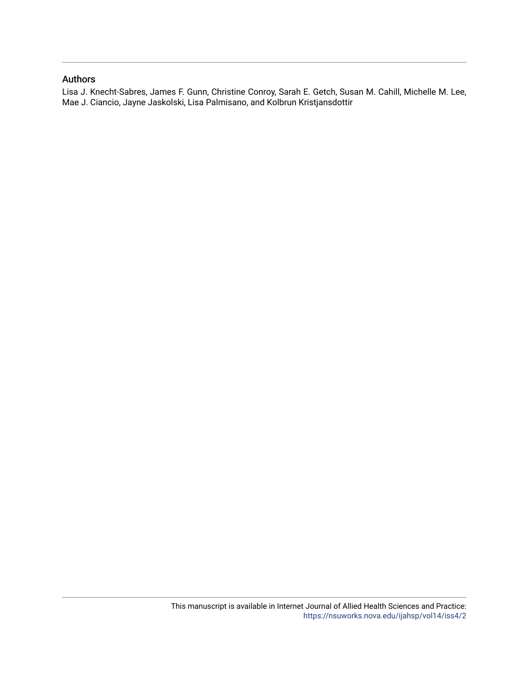### Authors

Lisa J. Knecht-Sabres, James F. Gunn, Christine Conroy, Sarah E. Getch, Susan M. Cahill, Michelle M. Lee, Mae J. Ciancio, Jayne Jaskolski, Lisa Palmisano, and Kolbrun Kristjansdottir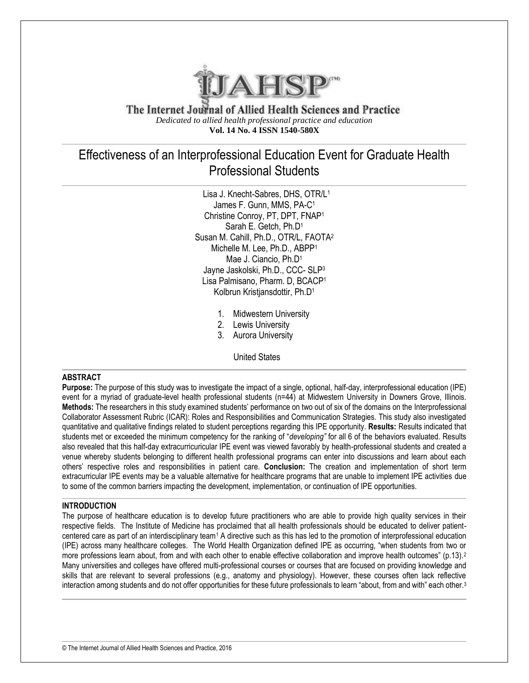

The Internet Journal of Allied Health Sciences and Practice *Dedicated to allied health professional practice and education* **Vol. 14 No. 4 ISSN 1540-580X**

## Effectiveness of an Interprofessional Education Event for Graduate Health Professional Students

 Lisa J. Knecht-Sabres, DHS, OTR/L<sup>1</sup> James F. Gunn, MMS, PA-C<sup>1</sup> Christine Conroy, PT, DPT, FNAP<sup>1</sup> Sarah E. Getch, Ph.D<sup>1</sup> Susan M. Cahill, Ph.D., OTR/L, FAOTA<sup>2</sup> Michelle M. Lee, Ph.D., ABPP<sup>1</sup> Mae J. Ciancio, Ph.D<sup>1</sup> Jayne Jaskolski, Ph.D., CCC- SLP<sup>3</sup> Lisa Palmisano, Pharm. D, BCACP<sup>1</sup> Kolbrun Kristjansdottir, Ph.D<sup>1</sup>

- 1. Midwestern University
- 2. Lewis University
- 3. Aurora University

United States

#### **ABSTRACT**

**Purpose:** The purpose of this study was to investigate the impact of a single, optional, half-day, interprofessional education (IPE) event for a myriad of graduate-level health professional students (n=44) at Midwestern University in Downers Grove, Illinois. **Methods:** The researchers in this study examined students' performance on two out of six of the domains on the Interprofessional Collaborator Assessment Rubric (ICAR): Roles and Responsibilities and Communication Strategies. This study also investigated quantitative and qualitative findings related to student perceptions regarding this IPE opportunity. **Results:** Results indicated that students met or exceeded the minimum competency for the ranking of "*developing"* for all 6 of the behaviors evaluated. Results also revealed that this half-day extracurricuricular IPE event was viewed favorably by health-professional students and created a venue whereby students belonging to different health professional programs can enter into discussions and learn about each others' respective roles and responsibilities in patient care. **Conclusion:** The creation and implementation of short term extracurricular IPE events may be a valuable alternative for healthcare programs that are unable to implement IPE activities due to some of the common barriers impacting the development, implementation, or continuation of IPE opportunities.

#### **INTRODUCTION**

The purpose of healthcare education is to develop future practitioners who are able to provide high quality services in their respective fields. The Institute of Medicine has proclaimed that all health professionals should be educated to deliver patientcentered care as part of an interdisciplinary team<sup>1</sup> A directive such as this has led to the promotion of interprofessional education (IPE) across many healthcare colleges. The World Health Organization defined IPE as occurring, "when students from two or more professions learn about, from and with each other to enable effective collaboration and improve health outcomes" (p.13).<sup>2</sup> Many universities and colleges have offered multi-professional courses or courses that are focused on providing knowledge and skills that are relevant to several professions (e.g., anatomy and physiology). However, these courses often lack reflective interaction among students and do not offer opportunities for these future professionals to learn "about, from and with" each other.<sup>3</sup>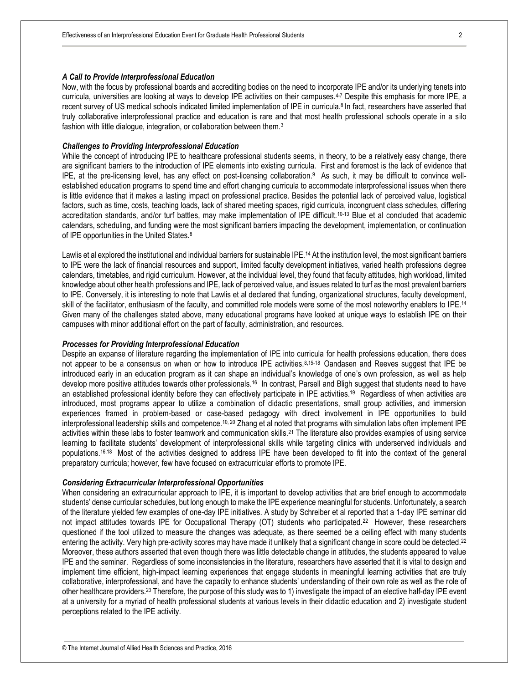#### *A Call to Provide Interprofessional Education*

Now, with the focus by professional boards and accrediting bodies on the need to incorporate IPE and/or its underlying tenets into curricula, universities are looking at ways to develop IPE activities on their campuses.4-7 Despite this emphasis for more IPE, a recent survey of US medical schools indicated limited implementation of IPE in curricula.<sup>8</sup> In fact, researchers have asserted that truly collaborative interprofessional practice and education is rare and that most health professional schools operate in a silo fashion with little dialogue, integration, or collaboration between them.<sup>3</sup>

#### *Challenges to Providing Interprofessional Education*

While the concept of introducing IPE to healthcare professional students seems, in theory, to be a relatively easy change, there are significant barriers to the introduction of IPE elements into existing curricula. First and foremost is the lack of evidence that IPE, at the pre-licensing level, has any effect on post-licensing collaboration.<sup>9</sup> As such, it may be difficult to convince wellestablished education programs to spend time and effort changing curricula to accommodate interprofessional issues when there is little evidence that it makes a lasting impact on professional practice. Besides the potential lack of perceived value, logistical factors, such as time, costs, teaching loads, lack of shared meeting spaces, rigid curricula, incongruent class schedules, differing accreditation standards, and/or turf battles, may make implementation of IPE difficult.<sup>10-13</sup> Blue et al concluded that academic calendars, scheduling, and funding were the most significant barriers impacting the development, implementation, or continuation of IPE opportunities in the United States.<sup>8</sup>

Lawlis et al explored the institutional and individual barriers for sustainable IPE.<sup>14</sup> At the institution level, the most significant barriers to IPE were the lack of financial resources and support, limited faculty development initiatives, varied health professions degree calendars, timetables, and rigid curriculum. However, at the individual level, they found that faculty attitudes, high workload, limited knowledge about other health professions and IPE, lack of perceived value, and issues related to turf as the most prevalent barriers to IPE. Conversely, it is interesting to note that Lawlis et al declared that funding, organizational structures, faculty development, skill of the facilitator, enthusiasm of the faculty, and committed role models were some of the most noteworthy enablers to IPE.<sup>14</sup> Given many of the challenges stated above, many educational programs have looked at unique ways to establish IPE on their campuses with minor additional effort on the part of faculty, administration, and resources.

#### *Processes for Providing Interprofessional Education*

Despite an expanse of literature regarding the implementation of IPE into curricula for health professions education, there does not appear to be a consensus on when or how to introduce IPE activities.<sup>8,15-18</sup> Oandasen and Reeves suggest that IPE be introduced early in an education program as it can shape an individual's knowledge of one's own profession, as well as help develop more positive attitudes towards other professionals.<sup>16</sup> In contrast, Parsell and Bligh suggest that students need to have an established professional identity before they can effectively participate in IPE activities.<sup>19</sup> Regardless of when activities are introduced, most programs appear to utilize a combination of didactic presentations, small group activities, and immersion experiences framed in problem-based or case-based pedagogy with direct involvement in IPE opportunities to build interprofessional leadership skills and competence.<sup>10, 20</sup> Zhang et al noted that programs with simulation labs often implement IPE activities within these labs to foster teamwork and communication skills.<sup>21</sup> The literature also provides examples of using service learning to facilitate students' development of interprofessional skills while targeting clinics with underserved individuals and populations.<sup>16,18</sup> Most of the activities designed to address IPE have been developed to fit into the context of the general preparatory curricula; however, few have focused on extracurricular efforts to promote IPE.

#### *Considering Extracurricular Interprofessional Opportunities*

When considering an extracurricular approach to IPE, it is important to develop activities that are brief enough to accommodate students' dense curricular schedules, but long enough to make the IPE experience meaningful for students. Unfortunately, a search of the literature yielded few examples of one-day IPE initiatives. A study by Schreiber et al reported that a 1-day IPE seminar did not impact attitudes towards IPE for Occupational Therapy (OT) students who participated.<sup>22</sup> However, these researchers questioned if the tool utilized to measure the changes was adequate, as there seemed be a ceiling effect with many students entering the activity. Very high pre-activity scores may have made it unlikely that a significant change in score could be detected.<sup>22</sup> Moreover, these authors asserted that even though there was little detectable change in attitudes, the students appeared to value IPE and the seminar. Regardless of some inconsistencies in the literature, researchers have asserted that it is vital to design and implement time efficient, high-impact learning experiences that engage students in meaningful learning activities that are truly collaborative, interprofessional, and have the capacity to enhance students' understanding of their own role as well as the role of other healthcare providers.<sup>23</sup> Therefore, the purpose of this study was to 1) investigate the impact of an elective half-day IPE event at a university for a myriad of health professional students at various levels in their didactic education and 2) investigate student perceptions related to the IPE activity.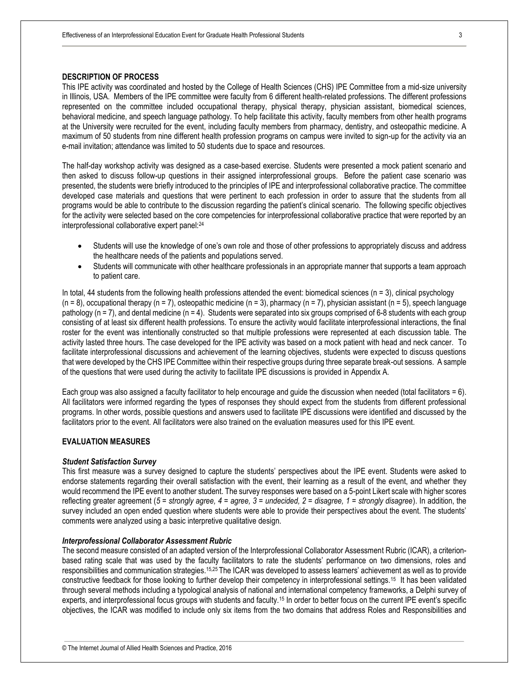#### **DESCRIPTION OF PROCESS**

This IPE activity was coordinated and hosted by the College of Health Sciences (CHS) IPE Committee from a mid-size university in Illinois, USA. Members of the IPE committee were faculty from 6 different health-related professions. The different professions represented on the committee included occupational therapy, physical therapy, physician assistant, biomedical sciences, behavioral medicine, and speech language pathology. To help facilitate this activity, faculty members from other health programs at the University were recruited for the event, including faculty members from pharmacy, dentistry, and osteopathic medicine. A maximum of 50 students from nine different health profession programs on campus were invited to sign-up for the activity via an e-mail invitation; attendance was limited to 50 students due to space and resources.

The half-day workshop activity was designed as a case-based exercise. Students were presented a mock patient scenario and then asked to discuss follow-up questions in their assigned interprofessional groups. Before the patient case scenario was presented, the students were briefly introduced to the principles of IPE and interprofessional collaborative practice. The committee developed case materials and questions that were pertinent to each profession in order to assure that the students from all programs would be able to contribute to the discussion regarding the patient's clinical scenario. The following specific objectives for the activity were selected based on the core competencies for interprofessional collaborative practice that were reported by an interprofessional collaborative expert panel:<sup>24</sup>

- Students will use the knowledge of one's own role and those of other professions to appropriately discuss and address the healthcare needs of the patients and populations served.
- Students will communicate with other healthcare professionals in an appropriate manner that supports a team approach to patient care.

In total, 44 students from the following health professions attended the event: biomedical sciences  $(n = 3)$ , clinical psychology  $(n = 8)$ , occupational therapy  $(n = 7)$ , osteopathic medicine  $(n = 3)$ , pharmacy  $(n = 7)$ , physician assistant  $(n = 5)$ , speech language pathology (n = 7), and dental medicine (n = 4). Students were separated into six groups comprised of 6-8 students with each group consisting of at least six different health professions. To ensure the activity would facilitate interprofessional interactions, the final roster for the event was intentionally constructed so that multiple professions were represented at each discussion table. The activity lasted three hours. The case developed for the IPE activity was based on a mock patient with head and neck cancer. To facilitate interprofessional discussions and achievement of the learning objectives, students were expected to discuss questions that were developed by the CHS IPE Committee within their respective groups during three separate break-out sessions. A sample of the questions that were used during the activity to facilitate IPE discussions is provided in Appendix A.

Each group was also assigned a faculty facilitator to help encourage and guide the discussion when needed (total facilitators = 6). All facilitators were informed regarding the types of responses they should expect from the students from different professional programs. In other words, possible questions and answers used to facilitate IPE discussions were identified and discussed by the facilitators prior to the event. All facilitators were also trained on the evaluation measures used for this IPE event.

#### **EVALUATION MEASURES**

#### *Student Satisfaction Survey*

This first measure was a survey designed to capture the students' perspectives about the IPE event. Students were asked to endorse statements regarding their overall satisfaction with the event, their learning as a result of the event, and whether they would recommend the IPE event to another student. The survey responses were based on a 5-point Likert scale with higher scores reflecting greater agreement (*5 = strongly agree, 4 = agree, 3 = undecided, 2 = disagree, 1 = strongly disagree*). In addition, the survey included an open ended question where students were able to provide their perspectives about the event. The students' comments were analyzed using a basic interpretive qualitative design.

#### *Interprofessional Collaborator Assessment Rubric*

The second measure consisted of an adapted version of the Interprofessional Collaborator Assessment Rubric (ICAR), a criterionbased rating scale that was used by the faculty facilitators to rate the students' performance on two dimensions, roles and responsibilities and communication strategies.15,25 The ICAR was developed to assess learners' achievement as well as to provide constructive feedback for those looking to further develop their competency in interprofessional settings.<sup>15</sup> It has been validated through several methods including a typological analysis of national and international competency frameworks, a Delphi survey of experts, and interprofessional focus groups with students and faculty.<sup>15</sup> In order to better focus on the current IPE event's specific objectives, the ICAR was modified to include only six items from the two domains that address Roles and Responsibilities and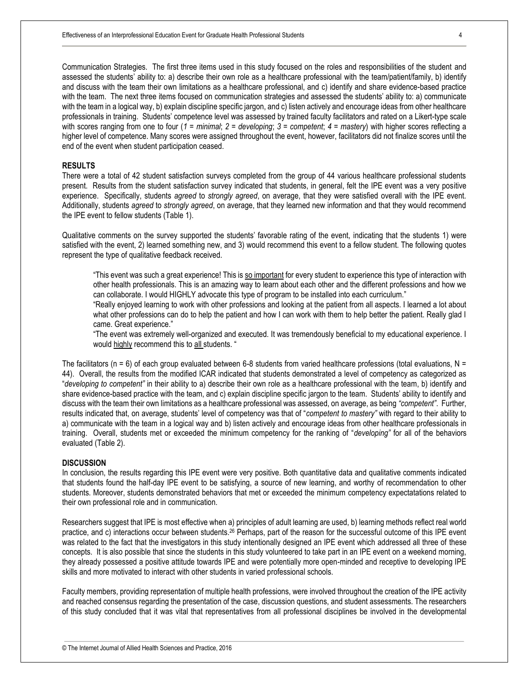Communication Strategies. The first three items used in this study focused on the roles and responsibilities of the student and assessed the students' ability to: a) describe their own role as a healthcare professional with the team/patient/family, b) identify and discuss with the team their own limitations as a healthcare professional, and c) identify and share evidence-based practice with the team. The next three items focused on communication strategies and assessed the students' ability to: a) communicate with the team in a logical way, b) explain discipline specific jargon, and c) listen actively and encourage ideas from other healthcare professionals in training. Students' competence level was assessed by trained faculty facilitators and rated on a Likert-type scale with scores ranging from one to four (*1 = minimal*; *2 = developing*; *3 = competent*; *4 = mastery*) with higher scores reflecting a higher level of competence. Many scores were assigned throughout the event, however, facilitators did not finalize scores until the end of the event when student participation ceased.

#### **RESULTS**

There were a total of 42 student satisfaction surveys completed from the group of 44 various healthcare professional students present. Results from the student satisfaction survey indicated that students, in general, felt the IPE event was a very positive experience. Specifically, students *agreed* to *strongly agreed*, on average, that they were satisfied overall with the IPE event. Additionally, students *agreed* to *strongly agreed*, on average, that they learned new information and that they would recommend the IPE event to fellow students (Table 1).

Qualitative comments on the survey supported the students' favorable rating of the event, indicating that the students 1) were satisfied with the event, 2) learned something new, and 3) would recommend this event to a fellow student. The following quotes represent the type of qualitative feedback received.

"This event was such a great experience! This is so important for every student to experience this type of interaction with other health professionals. This is an amazing way to learn about each other and the different professions and how we can collaborate. I would HIGHLY advocate this type of program to be installed into each curriculum."

"Really enjoyed learning to work with other professions and looking at the patient from all aspects. I learned a lot about what other professions can do to help the patient and how I can work with them to help better the patient. Really glad I came. Great experience."

"The event was extremely well-organized and executed. It was tremendously beneficial to my educational experience. I would highly recommend this to all students. "

The facilitators ( $n = 6$ ) of each group evaluated between 6-8 students from varied healthcare professions (total evaluations,  $N =$ 44). Overall, the results from the modified ICAR indicated that students demonstrated a level of competency as categorized as "*developing to competent"* in their ability to a) describe their own role as a healthcare professional with the team, b) identify and share evidence-based practice with the team, and c) explain discipline specific jargon to the team. Students' ability to identify and discuss with the team their own limitations as a healthcare professional was assessed, on average, as being *"competent"*. Further, results indicated that, on average, students' level of competency was that of "*competent to mastery"* with regard to their ability to a) communicate with the team in a logical way and b) listen actively and encourage ideas from other healthcare professionals in training. Overall, students met or exceeded the minimum competency for the ranking of "*developing"* for all of the behaviors evaluated (Table 2).

#### **DISCUSSION**

In conclusion, the results regarding this IPE event were very positive. Both quantitative data and qualitative comments indicated that students found the half-day IPE event to be satisfying, a source of new learning, and worthy of recommendation to other students. Moreover, students demonstrated behaviors that met or exceeded the minimum competency expectatations related to their own professional role and in communication.

Researchers suggest that IPE is most effective when a) principles of adult learning are used, b) learning methods reflect real world practice, and c) interactions occur between students.<sup>26</sup> Perhaps, part of the reason for the successful outcome of this IPE event was related to the fact that the investigators in this study intentionally designed an IPE event which addressed all three of these concepts. It is also possible that since the students in this study volunteered to take part in an IPE event on a weekend morning, they already possessed a positive attitude towards IPE and were potentially more open-minded and receptive to developing IPE skills and more motivated to interact with other students in varied professional schools.

Faculty members, providing representation of multiple health professions, were involved throughout the creation of the IPE activity and reached consensus regarding the presentation of the case, discussion questions, and student assessments. The researchers of this study concluded that it was vital that representatives from all professional disciplines be involved in the developmental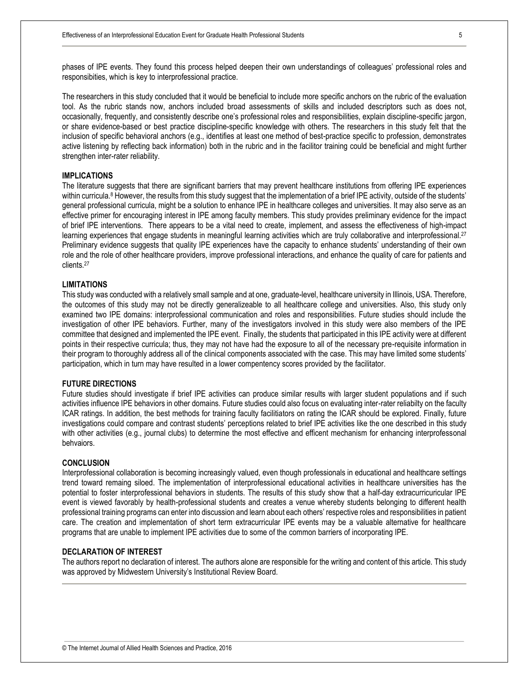phases of IPE events. They found this process helped deepen their own understandings of colleagues' professional roles and responsibities, which is key to interprofessional practice.

The researchers in this study concluded that it would be beneficial to include more specific anchors on the rubric of the evaluation tool. As the rubric stands now, anchors included broad assessments of skills and included descriptors such as does not, occasionally, frequently, and consistently describe one's professional roles and responsibilities, explain discipline-specific jargon, or share evidence-based or best practice discipline-specific knowledge with others. The researchers in this study felt that the inclusion of specific behavioral anchors (e.g., identifies at least one method of best-practice specific to profession, demonstrates active listening by reflecting back information) both in the rubric and in the facilitor training could be beneficial and might further strengthen inter-rater reliability.

#### **IMPLICATIONS**

The literature suggests that there are significant barriers that may prevent healthcare institutions from offering IPE experiences within curricula.<sup>8</sup> However, the results from this study suggest that the implementation of a brief IPE activity, outside of the students' general professional curricula, might be a solution to enhance IPE in healthcare colleges and universities. It may also serve as an effective primer for encouraging interest in IPE among faculty members. This study provides preliminary evidence for the impact of brief IPE interventions. There appears to be a vital need to create, implement, and assess the effectiveness of high-impact learning experiences that engage students in meaningful learning activities which are truly collaborative and interprofessional.<sup>27</sup> Preliminary evidence suggests that quality IPE experiences have the capacity to enhance students' understanding of their own role and the role of other healthcare providers, improve professional interactions, and enhance the quality of care for patients and clients.<sup>27</sup>

#### **LIMITATIONS**

This study was conducted with a relatively small sample and at one, graduate-level, healthcare university in Illinois, USA. Therefore, the outcomes of this study may not be directly generalizeable to all healthcare college and universities. Also, this study only examined two IPE domains: interprofessional communication and roles and responsibilities. Future studies should include the investigation of other IPE behaviors. Further, many of the investigators involved in this study were also members of the IPE committee that designed and implemented the IPE event. Finally, the students that participated in this IPE activity were at different points in their respective curricula; thus, they may not have had the exposure to all of the necessary pre-requisite information in their program to thoroughly address all of the clinical components associated with the case. This may have limited some students' participation, which in turn may have resulted in a lower compentency scores provided by the facilitator.

#### **FUTURE DIRECTIONS**

Future studies should investigate if brief IPE activities can produce similar results with larger student populations and if such activities influence IPE behaviors in other domains. Future studies could also focus on evaluating inter-rater reliabilty on the faculty ICAR ratings. In addition, the best methods for training faculty facilitiators on rating the ICAR should be explored. Finally, future investigations could compare and contrast students' perceptions related to brief IPE activities like the one described in this study with other activities (e.g., journal clubs) to determine the most effective and efficent mechanism for enhancing interprofessonal behvaiors.

#### **CONCLUSION**

Interprofessional collaboration is becoming increasingly valued, even though professionals in educational and healthcare settings trend toward remaing siloed. The implementation of interprofessional educational activities in healthcare universities has the potential to foster interprofessional behaviors in students. The results of this study show that a half-day extracurricuricular IPE event is viewed favorably by health-professional students and creates a venue whereby students belonging to different health professional training programs can enter into discussion and learn about each others' respective roles and responsibilities in patient care. The creation and implementation of short term extracurricular IPE events may be a valuable alternative for healthcare programs that are unable to implement IPE activities due to some of the common barriers of incorporating IPE.

#### **DECLARATION OF INTEREST**

The authors report no declaration of interest. The authors alone are responsible for the writing and content of this article. This study was approved by Midwestern University's Institutional Review Board.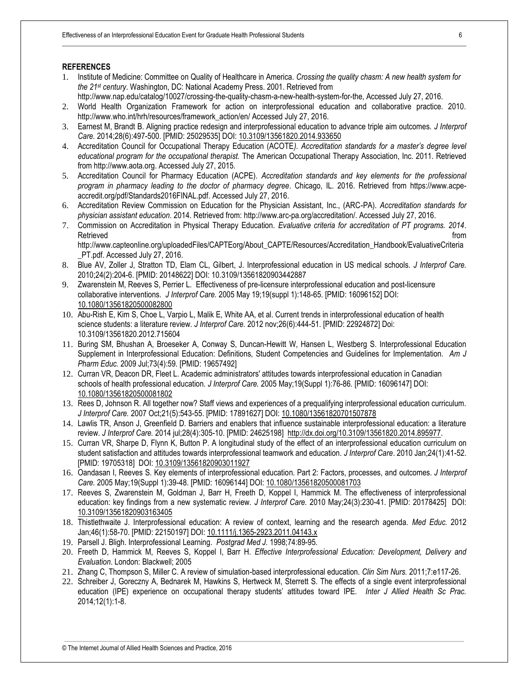#### **REFERENCES**

- 1. Institute of Medicine: Committee on Quality of Healthcare in America. *Crossing the quality chasm: A new health system for the 21st century*. Washington, DC: National Academy Press. 2001. Retrieved from
- http://www.nap.edu/catalog/10027/crossing-the-quality-chasm-a-new-health-system-for-the, Accessed July 27, 2016.
- 2. World Health Organization Framework for action on interprofessional education and collaborative practice. 2010. http://www.who.int/hrh/resources/framework\_action/en/ Accessed July 27, 2016.
- 3. Earnest M, Brandt B. Aligning practice redesign and interprofessional education to advance triple aim outcomes. *J Interprof Care.* 2014;28(6):497-500. [PMID: 25029535] DOI[: 10.3109/13561820.2014.933650](http://dx.doi.org/10.3109/13561820.2014.933650)
- 4. Accreditation Council for Occupational Therapy Education (ACOTE*). Accreditation standards for a master's degree level educational program for the occupational therapist.* The American Occupational Therapy Association, Inc. 2011. Retrieved from http://www.aota.org. Accessed July 27, 2015.
- 5. Accreditation Council for Pharmacy Education (ACPE). *Accreditation standards and key elements for the professional program in pharmacy leading to the doctor of pharmacy degree*. Chicago, IL. 2016. Retrieved from https://www.acpeaccredit.org/pdf/Standards2016FINAL.pdf. Accessed July 27, 2016.
- 6. Accreditation Review Commission on Education for the Physician Assistant, Inc., (ARC-PA). *Accreditation standards for physician assistant education*. 2014. Retrieved from: http://www.arc-pa.org/accreditation/. Accessed July 27, 2016.
- 7. Commission on Accreditation in Physical Therapy Education. *Evaluative criteria for accreditation of PT programs. 2014*. Retrieved **from the set of the set of the set of the set of the set of the set of the set of the set of the set of the set of the set of the set of the set of the set of the set of the set of the set of the set of the set**

http://www.capteonline.org/uploadedFiles/CAPTEorg/About\_CAPTE/Resources/Accreditation\_Handbook/EvaluativeCriteria PT.pdf. Accessed July 27, 2016.

- 8. Blue AV, Zoller J, Stratton TD, Elam CL, Gilbert, J. Interprofessional education in US medical schools. *J Interprof Care.*  2010;24(2):204-6. [PMID: 20148622] DOI: [10.3109/13561820903442887](http://dx.doi.org/10.3109/13561820903442887)
- 9. Zwarenstein M, Reeves S, Perrier L. Effectiveness of pre-licensure interprofessional education and post-licensure collaborative interventions. *J Interprof Care.* 2005 May 19;19(suppl 1):148-65. [PMID: 16096152] DOI: [10.1080/13561820500082800](http://dx.doi.org/10.1080/13561820500082800)
- 10. Abu-Rish E, Kim S, Choe L, Varpio L, Malik E, White AA, et al. Current trends in interprofessional education of health science students: a literature review. *J Interprof Care.* 2012 nov;26(6):444-51. [PMID: 22924872] Doi: 10.3109/13561820.2012.715604
- 11. Buring SM, Bhushan A, Broeseker A, Conway S, Duncan-Hewitt W, Hansen L, Westberg S. Interprofessional Education Supplement in Interprofessional Education: Definitions, Student Competencies and Guidelines for Implementation. *Am J Pharm Educ.* 2009 Jul;73(4):59. [PMID: 19657492]
- 12. Curran VR, Deacon DR, Fleet L. Academic administrators' attitudes towards interprofessional education in Canadian schools of health professional education*. J Interprof Care.* 2005 May;19(Suppl 1):76-86*.* [PMID: 16096147] DOI: [10.1080/13561820500081802](http://dx.doi.org/10.1080/13561820500081802)
- 13. Rees D, Johnson R. All together now? Staff views and experiences of a prequalifying interprofessional education curriculum. *J Interprof Care.* 2007 Oct;21(5):543-55. [PMID: 17891627] DOI: [10.1080/13561820701507878](http://dx.doi.org/10.1080/13561820701507878)
- 14. Lawlis TR, Anson J, Greenfield D. Barriers and enablers that influence sustainable interprofessional education: a literature review. *J Interprof Care.* 2014 jul;28(4):305-10. [PMID: 24625198] [http://dx.doi.org/10.3109/13561820.2014.895977.](http://dx.doi.org/10.3109/13561820.2014.895977)
- 15. Curran VR, Sharpe D, Flynn K, Button P. A longitudinal study of the effect of an interprofessional education curriculum on student satisfaction and attitudes towards interprofessional teamwork and education*. J Interprof Care*. 2010 Jan;24(1):41-52. [PMID: 19705318] DOI: [10.3109/13561820903011927](http://dx.doi.org/10.3109/13561820903011927)
- 16. Oandasan I, Reeves S. Key elements of interprofessional education. Part 2: Factors, processes, and outcomes. *J Interprof Care.* 2005 May;19(Suppl 1):39-48. [PMID: 16096144] DOI: [10.1080/13561820500081703](http://dx.doi.org/10.1080/13561820500081703)
- 17. Reeves S, Zwarenstein M, Goldman J, Barr H, Freeth D, Koppel I, Hammick M. The effectiveness of interprofessional education: key findings from a new systematic review. *J Interprof Care.* 2010 May;24(3):230-41. [PMID: 20178425] DOI: [10.3109/13561820903163405](http://dx.doi.org/10.3109/13561820903163405)
- 18. Thistlethwaite J. Interprofessional education: A review of context, learning and the research agenda. *Med Educ.* 2012 Jan;46(1):58-70. [PMID: 22150197] DOI: [10.1111/j.1365-2923.2011.04143.x](http://dx.doi.org/10.1111/j.1365-2923.2011.04143.x)
- 19. Parsell J. Bligh. Interprofessional Learning. *Postgrad Med J.* 1998;74:89-95.
- 20. Freeth D, Hammick M, Reeves S, Koppel I, Barr H. *Effective Interprofessional Education: Development, Delivery and Evaluation*. London: Blackwell; 2005
- 21. Zhang C, Thompson S, Miller C. A review of simulation-based interprofessional education. *Clin Sim Nurs.* 2011;7:e117-26.
- 22. Schreiber J, Goreczny A, Bednarek M, Hawkins S, Hertweck M, Sterrett S. The effects of a single event interprofessional education (IPE) experience on occupational therapy students' attitudes toward IPE. *Inter J Allied Health Sc Prac.*  2014*;*12(1):1-8.